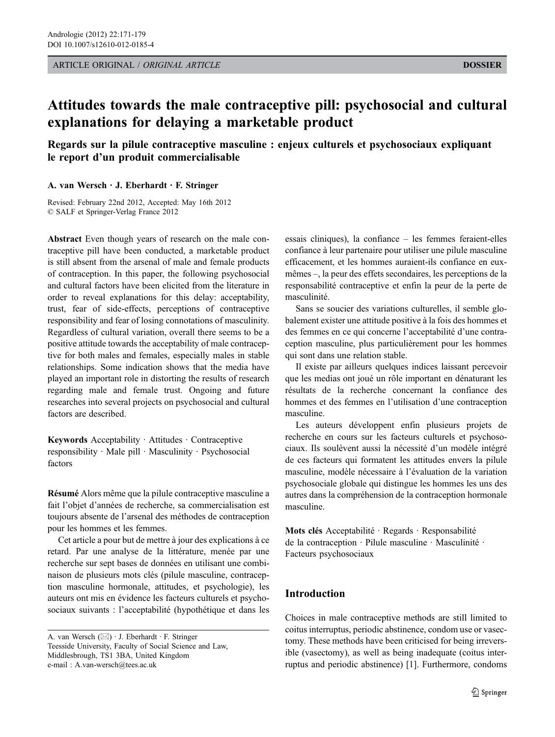ARTICLE ORIGINAL / ORIGINAL ARTICLE DOSSIER

# Attitudes towards the male contraceptive pill: psychosocial and cultural explanations for delaying a marketable product

Regards sur la pilule contraceptive masculine : enjeux culturels et psychosociaux expliquant le report d'un produit commercialisable

#### A. van Wersch · J. Eberhardt · F. Stringer

Revised: February 22nd 2012, Accepted: May 16th 2012 © SALF et Springer-Verlag France 2012

Abstract Even though years of research on the male contraceptive pill have been conducted, a marketable product is still absent from the arsenal of male and female products of contraception. In this paper, the following psychosocial and cultural factors have been elicited from the literature in order to reveal explanations for this delay: acceptability, trust, fear of side-effects, perceptions of contraceptive responsibility and fear of losing connotations of masculinity. Regardless of cultural variation, overall there seems to be a positive attitude towards the acceptability of male contraceptive for both males and females, especially males in stable relationships. Some indication shows that the media have played an important role in distorting the results of research regarding male and female trust. Ongoing and future researches into several projects on psychosocial and cultural factors are described.

Keywords Acceptability · Attitudes · Contraceptive responsibility · Male pill · Masculinity · Psychosocial factors

Résumé Alors même que la pilule contraceptive masculine a fait l'objet d'années de recherche, sa commercialisation est toujours absente de l'arsenal des méthodes de contraception pour les hommes et les femmes.

Cet article a pour but de mettre à jour des explications à ce retard. Par une analyse de la littérature, menée par une recherche sur sept bases de données en utilisant une combinaison de plusieurs mots clés (pilule masculine, contraception masculine hormonale, attitudes, et psychologie), les auteurs ont mis en évidence les facteurs culturels et psychosociaux suivants : l'acceptabilité (hypothétique et dans les essais cliniques), la confiance – les femmes feraient-elles confiance à leur partenaire pour utiliser une pilule masculine efficacement, et les hommes auraient-ils confiance en euxmêmes –, la peur des effets secondaires, les perceptions de la responsabilité contraceptive et enfin la peur de la perte de masculinité.

Sans se soucier des variations culturelles, il semble globalement exister une attitude positive à la fois des hommes et des femmes en ce qui concerne l'acceptabilité d'une contraception masculine, plus particulièrement pour les hommes qui sont dans une relation stable.

Il existe par ailleurs quelques indices laissant percevoir que les medias ont joué un rôle important en dénaturant les résultats de la recherche concernant la confiance des hommes et des femmes en l'utilisation d'une contraception masculine.

Les auteurs développent enfin plusieurs projets de recherche en cours sur les facteurs culturels et psychosociaux. Ils soulèvent aussi la nécessité d'un modèle intégré de ces facteurs qui formatent les attitudes envers la pilule masculine, modèle nécessaire à l'évaluation de la variation psychosociale globale qui distingue les hommes les uns des autres dans la compréhension de la contraception hormonale masculine.

Mots clés Acceptabilité · Regards · Responsabilité de la contraception · Pilule masculine · Masculinité · Facteurs psychosociaux

# Introduction

Choices in male contraceptive methods are still limited to coitus interruptus, periodic abstinence, condom use or vasectomy. These methods have been criticised for being irreversible (vasectomy), as well as being inadequate (coitus interruptus and periodic abstinence) [1]. Furthermore, condoms

A. van Wersch  $(\boxtimes) \cdot$  J. Eberhardt  $\cdot$  F. Stringer Teesside University, Faculty of Social Science and Law, Middlesbrough, TS1 3BA, United Kingdom e-mail : A.van-wersch@tees.ac.uk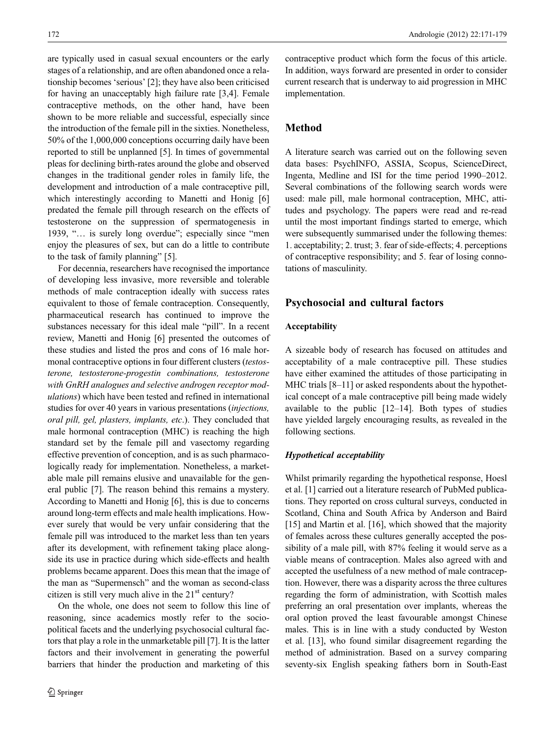are typically used in casual sexual encounters or the early stages of a relationship, and are often abandoned once a relationship becomes 'serious' [2]; they have also been criticised for having an unacceptably high failure rate [3,4]. Female contraceptive methods, on the other hand, have been shown to be more reliable and successful, especially since the introduction of the female pill in the sixties. Nonetheless, 50% of the 1,000,000 conceptions occurring daily have been reported to still be unplanned [5]. In times of governmental pleas for declining birth-rates around the globe and observed changes in the traditional gender roles in family life, the development and introduction of a male contraceptive pill, which interestingly according to Manetti and Honig [6] predated the female pill through research on the effects of testosterone on the suppression of spermatogenesis in 1939, "… is surely long overdue"; especially since "men enjoy the pleasures of sex, but can do a little to contribute to the task of family planning" [5].

For decennia, researchers have recognised the importance of developing less invasive, more reversible and tolerable methods of male contraception ideally with success rates equivalent to those of female contraception. Consequently, pharmaceutical research has continued to improve the substances necessary for this ideal male "pill". In a recent review, Manetti and Honig [6] presented the outcomes of these studies and listed the pros and cons of 16 male hormonal contraceptive options in four different clusters (testosterone, testosterone-progestin combinations, testosterone with GnRH analogues and selective androgen receptor modulations) which have been tested and refined in international studies for over 40 years in various presentations (injections, oral pill, gel, plasters, implants, etc.). They concluded that male hormonal contraception (MHC) is reaching the high standard set by the female pill and vasectomy regarding effective prevention of conception, and is as such pharmacologically ready for implementation. Nonetheless, a marketable male pill remains elusive and unavailable for the general public [7]. The reason behind this remains a mystery. According to Manetti and Honig [6], this is due to concerns around long-term effects and male health implications. However surely that would be very unfair considering that the female pill was introduced to the market less than ten years after its development, with refinement taking place alongside its use in practice during which side-effects and health problems became apparent. Does this mean that the image of the man as "Supermensch" and the woman as second-class citizen is still very much alive in the  $21<sup>st</sup>$  century?

On the whole, one does not seem to follow this line of reasoning, since academics mostly refer to the sociopolitical facets and the underlying psychosocial cultural factors that play a role in the unmarketable pill [7]. It is the latter factors and their involvement in generating the powerful barriers that hinder the production and marketing of this

contraceptive product which form the focus of this article. In addition, ways forward are presented in order to consider current research that is underway to aid progression in MHC implementation.

# Method

A literature search was carried out on the following seven data bases: PsychINFO, ASSIA, Scopus, ScienceDirect, Ingenta, Medline and ISI for the time period 1990–2012. Several combinations of the following search words were used: male pill, male hormonal contraception, MHC, attitudes and psychology. The papers were read and re-read until the most important findings started to emerge, which were subsequently summarised under the following themes: 1. acceptability; 2. trust; 3. fear of side-effects; 4. perceptions of contraceptive responsibility; and 5. fear of losing connotations of masculinity.

# Psychosocial and cultural factors

# Acceptability

A sizeable body of research has focused on attitudes and acceptability of a male contraceptive pill. These studies have either examined the attitudes of those participating in MHC trials [8–11] or asked respondents about the hypothetical concept of a male contraceptive pill being made widely available to the public [12–14]. Both types of studies have yielded largely encouraging results, as revealed in the following sections.

# Hypothetical acceptability

Whilst primarily regarding the hypothetical response, Hoesl et al. [1] carried out a literature research of PubMed publications. They reported on cross cultural surveys, conducted in Scotland, China and South Africa by Anderson and Baird [15] and Martin et al. [16], which showed that the majority of females across these cultures generally accepted the possibility of a male pill, with 87% feeling it would serve as a viable means of contraception. Males also agreed with and accepted the usefulness of a new method of male contraception. However, there was a disparity across the three cultures regarding the form of administration, with Scottish males preferring an oral presentation over implants, whereas the oral option proved the least favourable amongst Chinese males. This is in line with a study conducted by Weston et al. [13], who found similar disagreement regarding the method of administration. Based on a survey comparing seventy-six English speaking fathers born in South-East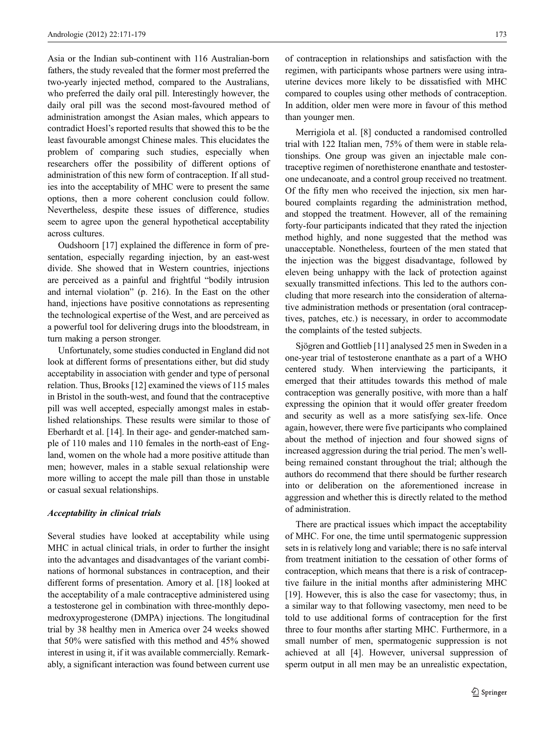Asia or the Indian sub-continent with 116 Australian-born fathers, the study revealed that the former most preferred the two-yearly injected method, compared to the Australians, who preferred the daily oral pill. Interestingly however, the daily oral pill was the second most-favoured method of administration amongst the Asian males, which appears to contradict Hoesl's reported results that showed this to be the least favourable amongst Chinese males. This elucidates the problem of comparing such studies, especially when researchers offer the possibility of different options of administration of this new form of contraception. If all studies into the acceptability of MHC were to present the same options, then a more coherent conclusion could follow. Nevertheless, despite these issues of difference, studies seem to agree upon the general hypothetical acceptability across cultures.

Oudshoorn [17] explained the difference in form of presentation, especially regarding injection, by an east-west divide. She showed that in Western countries, injections are perceived as a painful and frightful "bodily intrusion and internal violation" (p. 216). In the East on the other hand, injections have positive connotations as representing the technological expertise of the West, and are perceived as a powerful tool for delivering drugs into the bloodstream, in turn making a person stronger.

Unfortunately, some studies conducted in England did not look at different forms of presentations either, but did study acceptability in association with gender and type of personal relation. Thus, Brooks [12] examined the views of 115 males in Bristol in the south-west, and found that the contraceptive pill was well accepted, especially amongst males in established relationships. These results were similar to those of Eberhardt et al. [14]. In their age- and gender-matched sample of 110 males and 110 females in the north-east of England, women on the whole had a more positive attitude than men; however, males in a stable sexual relationship were more willing to accept the male pill than those in unstable or casual sexual relationships.

### Acceptability in clinical trials

Several studies have looked at acceptability while using MHC in actual clinical trials, in order to further the insight into the advantages and disadvantages of the variant combinations of hormonal substances in contraception, and their different forms of presentation. Amory et al. [18] looked at the acceptability of a male contraceptive administered using a testosterone gel in combination with three-monthly depomedroxyprogesterone (DMPA) injections. The longitudinal trial by 38 healthy men in America over 24 weeks showed that 50% were satisfied with this method and 45% showed interest in using it, if it was available commercially. Remarkably, a significant interaction was found between current use of contraception in relationships and satisfaction with the regimen, with participants whose partners were using intrauterine devices more likely to be dissatisfied with MHC compared to couples using other methods of contraception. In addition, older men were more in favour of this method than younger men.

Merrigiola et al. [8] conducted a randomised controlled trial with 122 Italian men, 75% of them were in stable relationships. One group was given an injectable male contraceptive regimen of norethisterone enanthate and testosterone undecanoate, and a control group received no treatment. Of the fifty men who received the injection, six men harboured complaints regarding the administration method, and stopped the treatment. However, all of the remaining forty-four participants indicated that they rated the injection method highly, and none suggested that the method was unacceptable. Nonetheless, fourteen of the men stated that the injection was the biggest disadvantage, followed by eleven being unhappy with the lack of protection against sexually transmitted infections. This led to the authors concluding that more research into the consideration of alternative administration methods or presentation (oral contraceptives, patches, etc.) is necessary, in order to accommodate the complaints of the tested subjects.

Sjögren and Gottlieb [11] analysed 25 men in Sweden in a one-year trial of testosterone enanthate as a part of a WHO centered study. When interviewing the participants, it emerged that their attitudes towards this method of male contraception was generally positive, with more than a half expressing the opinion that it would offer greater freedom and security as well as a more satisfying sex-life. Once again, however, there were five participants who complained about the method of injection and four showed signs of increased aggression during the trial period. The men's wellbeing remained constant throughout the trial; although the authors do recommend that there should be further research into or deliberation on the aforementioned increase in aggression and whether this is directly related to the method of administration.

There are practical issues which impact the acceptability of MHC. For one, the time until spermatogenic suppression sets in is relatively long and variable; there is no safe interval from treatment initiation to the cessation of other forms of contraception, which means that there is a risk of contraceptive failure in the initial months after administering MHC [19]. However, this is also the case for vasectomy; thus, in a similar way to that following vasectomy, men need to be told to use additional forms of contraception for the first three to four months after starting MHC. Furthermore, in a small number of men, spermatogenic suppression is not achieved at all [4]. However, universal suppression of sperm output in all men may be an unrealistic expectation,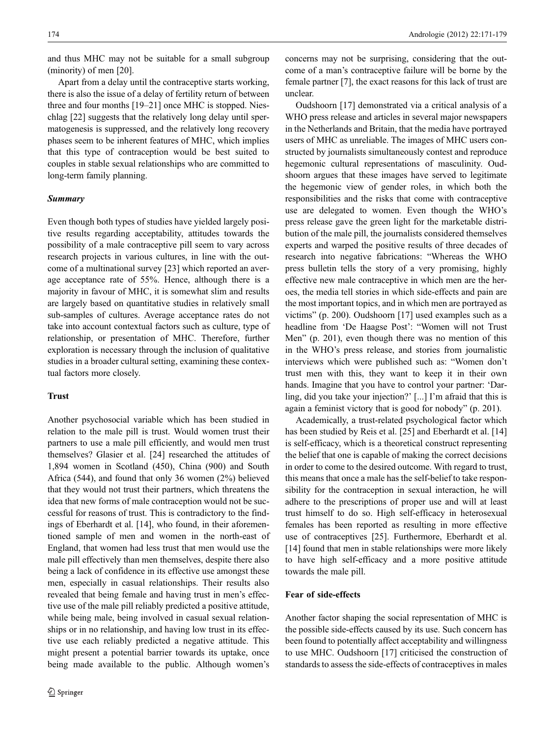and thus MHC may not be suitable for a small subgroup (minority) of men [20].

Apart from a delay until the contraceptive starts working, there is also the issue of a delay of fertility return of between three and four months [19–21] once MHC is stopped. Nieschlag [22] suggests that the relatively long delay until spermatogenesis is suppressed, and the relatively long recovery phases seem to be inherent features of MHC, which implies that this type of contraception would be best suited to couples in stable sexual relationships who are committed to long-term family planning.

#### Summary

Even though both types of studies have yielded largely positive results regarding acceptability, attitudes towards the possibility of a male contraceptive pill seem to vary across research projects in various cultures, in line with the outcome of a multinational survey [23] which reported an average acceptance rate of 55%. Hence, although there is a majority in favour of MHC, it is somewhat slim and results are largely based on quantitative studies in relatively small sub-samples of cultures. Average acceptance rates do not take into account contextual factors such as culture, type of relationship, or presentation of MHC. Therefore, further exploration is necessary through the inclusion of qualitative studies in a broader cultural setting, examining these contextual factors more closely.

### Trust

Another psychosocial variable which has been studied in relation to the male pill is trust. Would women trust their partners to use a male pill efficiently, and would men trust themselves? Glasier et al. [24] researched the attitudes of 1,894 women in Scotland (450), China (900) and South Africa (544), and found that only 36 women (2%) believed that they would not trust their partners, which threatens the idea that new forms of male contraception would not be successful for reasons of trust. This is contradictory to the findings of Eberhardt et al. [14], who found, in their aforementioned sample of men and women in the north-east of England, that women had less trust that men would use the male pill effectively than men themselves, despite there also being a lack of confidence in its effective use amongst these men, especially in casual relationships. Their results also revealed that being female and having trust in men's effective use of the male pill reliably predicted a positive attitude, while being male, being involved in casual sexual relationships or in no relationship, and having low trust in its effective use each reliably predicted a negative attitude. This might present a potential barrier towards its uptake, once being made available to the public. Although women's

concerns may not be surprising, considering that the outcome of a man's contraceptive failure will be borne by the female partner [7], the exact reasons for this lack of trust are unclear.

Oudshoorn [17] demonstrated via a critical analysis of a WHO press release and articles in several major newspapers in the Netherlands and Britain, that the media have portrayed users of MHC as unreliable. The images of MHC users constructed by journalists simultaneously contest and reproduce hegemonic cultural representations of masculinity. Oudshoorn argues that these images have served to legitimate the hegemonic view of gender roles, in which both the responsibilities and the risks that come with contraceptive use are delegated to women. Even though the WHO's press release gave the green light for the marketable distribution of the male pill, the journalists considered themselves experts and warped the positive results of three decades of research into negative fabrications: "Whereas the WHO press bulletin tells the story of a very promising, highly effective new male contraceptive in which men are the heroes, the media tell stories in which side-effects and pain are the most important topics, and in which men are portrayed as victims" (p. 200). Oudshoorn [17] used examples such as a headline from 'De Haagse Post': "Women will not Trust Men" (p. 201), even though there was no mention of this in the WHO's press release, and stories from journalistic interviews which were published such as: "Women don't trust men with this, they want to keep it in their own hands. Imagine that you have to control your partner: 'Darling, did you take your injection?' [...] I'm afraid that this is again a feminist victory that is good for nobody" (p. 201).

Academically, a trust-related psychological factor which has been studied by Reis et al. [25] and Eberhardt et al. [14] is self-efficacy, which is a theoretical construct representing the belief that one is capable of making the correct decisions in order to come to the desired outcome. With regard to trust, this means that once a male has the self-belief to take responsibility for the contraception in sexual interaction, he will adhere to the prescriptions of proper use and will at least trust himself to do so. High self-efficacy in heterosexual females has been reported as resulting in more effective use of contraceptives [25]. Furthermore, Eberhardt et al. [14] found that men in stable relationships were more likely to have high self-efficacy and a more positive attitude towards the male pill.

### Fear of side-effects

Another factor shaping the social representation of MHC is the possible side-effects caused by its use. Such concern has been found to potentially affect acceptability and willingness to use MHC. Oudshoorn [17] criticised the construction of standards to assess the side-effects of contraceptives in males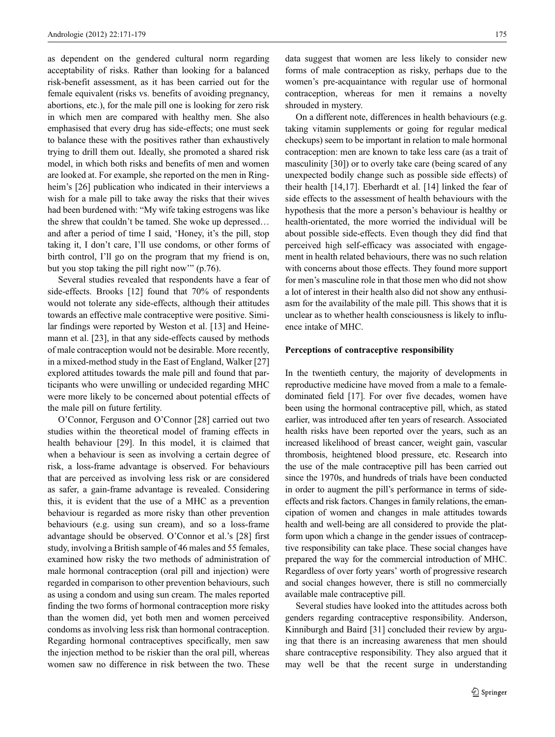as dependent on the gendered cultural norm regarding acceptability of risks. Rather than looking for a balanced risk-benefit assessment, as it has been carried out for the female equivalent (risks vs. benefits of avoiding pregnancy, abortions, etc.), for the male pill one is looking for zero risk in which men are compared with healthy men. She also emphasised that every drug has side-effects; one must seek to balance these with the positives rather than exhaustively trying to drill them out. Ideally, she promoted a shared risk model, in which both risks and benefits of men and women are looked at. For example, she reported on the men in Ringheim's [26] publication who indicated in their interviews a wish for a male pill to take away the risks that their wives had been burdened with: "My wife taking estrogens was like the shrew that couldn't be tamed. She woke up depressed… and after a period of time I said, 'Honey, it's the pill, stop taking it, I don't care, I'll use condoms, or other forms of birth control, I'll go on the program that my friend is on, but you stop taking the pill right now'" (p.76).

Several studies revealed that respondents have a fear of side-effects. Brooks [12] found that 70% of respondents would not tolerate any side-effects, although their attitudes towards an effective male contraceptive were positive. Similar findings were reported by Weston et al. [13] and Heinemann et al. [23], in that any side-effects caused by methods of male contraception would not be desirable. More recently, in a mixed-method study in the East of England, Walker [27] explored attitudes towards the male pill and found that participants who were unwilling or undecided regarding MHC were more likely to be concerned about potential effects of the male pill on future fertility.

O'Connor, Ferguson and O'Connor [28] carried out two studies within the theoretical model of framing effects in health behaviour [29]. In this model, it is claimed that when a behaviour is seen as involving a certain degree of risk, a loss-frame advantage is observed. For behaviours that are perceived as involving less risk or are considered as safer, a gain-frame advantage is revealed. Considering this, it is evident that the use of a MHC as a prevention behaviour is regarded as more risky than other prevention behaviours (e.g. using sun cream), and so a loss-frame advantage should be observed. O'Connor et al.'s [28] first study, involving a British sample of 46 males and 55 females, examined how risky the two methods of administration of male hormonal contraception (oral pill and injection) were regarded in comparison to other prevention behaviours, such as using a condom and using sun cream. The males reported finding the two forms of hormonal contraception more risky than the women did, yet both men and women perceived condoms as involving less risk than hormonal contraception. Regarding hormonal contraceptives specifically, men saw the injection method to be riskier than the oral pill, whereas women saw no difference in risk between the two. These

data suggest that women are less likely to consider new forms of male contraception as risky, perhaps due to the women's pre-acquaintance with regular use of hormonal contraception, whereas for men it remains a novelty shrouded in mystery.

On a different note, differences in health behaviours (e.g. taking vitamin supplements or going for regular medical checkups) seem to be important in relation to male hormonal contraception: men are known to take less care (as a trait of masculinity [30]) or to overly take care (being scared of any unexpected bodily change such as possible side effects) of their health [14,17]. Eberhardt et al. [14] linked the fear of side effects to the assessment of health behaviours with the hypothesis that the more a person's behaviour is healthy or health-orientated, the more worried the individual will be about possible side-effects. Even though they did find that perceived high self-efficacy was associated with engagement in health related behaviours, there was no such relation with concerns about those effects. They found more support for men's masculine role in that those men who did not show a lot of interest in their health also did not show any enthusiasm for the availability of the male pill. This shows that it is unclear as to whether health consciousness is likely to influence intake of MHC.

### Perceptions of contraceptive responsibility

In the twentieth century, the majority of developments in reproductive medicine have moved from a male to a femaledominated field [17]. For over five decades, women have been using the hormonal contraceptive pill, which, as stated earlier, was introduced after ten years of research. Associated health risks have been reported over the years, such as an increased likelihood of breast cancer, weight gain, vascular thrombosis, heightened blood pressure, etc. Research into the use of the male contraceptive pill has been carried out since the 1970s, and hundreds of trials have been conducted in order to augment the pill's performance in terms of sideeffects and risk factors. Changes in family relations, the emancipation of women and changes in male attitudes towards health and well-being are all considered to provide the platform upon which a change in the gender issues of contraceptive responsibility can take place. These social changes have prepared the way for the commercial introduction of MHC. Regardless of over forty years' worth of progressive research and social changes however, there is still no commercially available male contraceptive pill.

Several studies have looked into the attitudes across both genders regarding contraceptive responsibility. Anderson, Kinniburgh and Baird [31] concluded their review by arguing that there is an increasing awareness that men should share contraceptive responsibility. They also argued that it may well be that the recent surge in understanding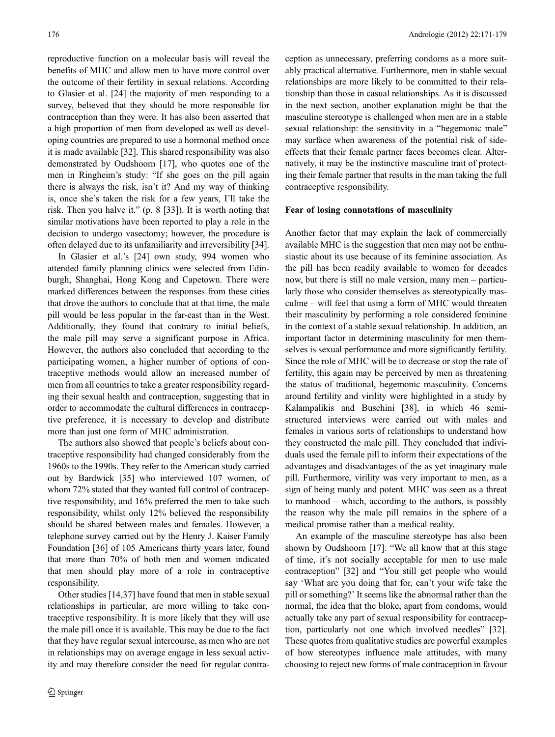reproductive function on a molecular basis will reveal the benefits of MHC and allow men to have more control over the outcome of their fertility in sexual relations. According to Glasier et al. [24] the majority of men responding to a survey, believed that they should be more responsible for contraception than they were. It has also been asserted that a high proportion of men from developed as well as developing countries are prepared to use a hormonal method once it is made available [32]. This shared responsibility was also demonstrated by Oudshoorn [17], who quotes one of the men in Ringheim's study: "If she goes on the pill again there is always the risk, isn't it? And my way of thinking is, once she's taken the risk for a few years, I'll take the risk. Then you halve it." (p. 8 [33]). It is worth noting that similar motivations have been reported to play a role in the decision to undergo vasectomy; however, the procedure is often delayed due to its unfamiliarity and irreversibility [34].

In Glasier et al.'s [24] own study, 994 women who attended family planning clinics were selected from Edinburgh, Shanghai, Hong Kong and Capetown. There were marked differences between the responses from these cities that drove the authors to conclude that at that time, the male pill would be less popular in the far-east than in the West. Additionally, they found that contrary to initial beliefs, the male pill may serve a significant purpose in Africa. However, the authors also concluded that according to the participating women, a higher number of options of contraceptive methods would allow an increased number of men from all countries to take a greater responsibility regarding their sexual health and contraception, suggesting that in order to accommodate the cultural differences in contraceptive preference, it is necessary to develop and distribute more than just one form of MHC administration.

The authors also showed that people's beliefs about contraceptive responsibility had changed considerably from the 1960s to the 1990s. They refer to the American study carried out by Bardwick [35] who interviewed 107 women, of whom 72% stated that they wanted full control of contraceptive responsibility, and 16% preferred the men to take such responsibility, whilst only 12% believed the responsibility should be shared between males and females. However, a telephone survey carried out by the Henry J. Kaiser Family Foundation [36] of 105 Americans thirty years later, found that more than 70% of both men and women indicated that men should play more of a role in contraceptive responsibility.

Other studies [14,37] have found that men in stable sexual relationships in particular, are more willing to take contraceptive responsibility. It is more likely that they will use the male pill once it is available. This may be due to the fact that they have regular sexual intercourse, as men who are not in relationships may on average engage in less sexual activity and may therefore consider the need for regular contraception as unnecessary, preferring condoms as a more suitably practical alternative. Furthermore, men in stable sexual relationships are more likely to be committed to their relationship than those in casual relationships. As it is discussed in the next section, another explanation might be that the masculine stereotype is challenged when men are in a stable sexual relationship: the sensitivity in a "hegemonic male" may surface when awareness of the potential risk of sideeffects that their female partner faces becomes clear. Alternatively, it may be the instinctive masculine trait of protecting their female partner that results in the man taking the full contraceptive responsibility.

#### Fear of losing connotations of masculinity

Another factor that may explain the lack of commercially available MHC is the suggestion that men may not be enthusiastic about its use because of its feminine association. As the pill has been readily available to women for decades now, but there is still no male version, many men – particularly those who consider themselves as stereotypically masculine – will feel that using a form of MHC would threaten their masculinity by performing a role considered feminine in the context of a stable sexual relationship. In addition, an important factor in determining masculinity for men themselves is sexual performance and more significantly fertility. Since the role of MHC will be to decrease or stop the rate of fertility, this again may be perceived by men as threatening the status of traditional, hegemonic masculinity. Concerns around fertility and virility were highlighted in a study by Kalampalikis and Buschini [38], in which 46 semistructured interviews were carried out with males and females in various sorts of relationships to understand how they constructed the male pill. They concluded that individuals used the female pill to inform their expectations of the advantages and disadvantages of the as yet imaginary male pill. Furthermore, virility was very important to men, as a sign of being manly and potent. MHC was seen as a threat to manhood – which, according to the authors, is possibly the reason why the male pill remains in the sphere of a medical promise rather than a medical reality.

An example of the masculine stereotype has also been shown by Oudshoorn [17]: "We all know that at this stage of time, it's not socially acceptable for men to use male contraception" [32] and "You still get people who would say 'What are you doing that for, can't your wife take the pill or something?' It seems like the abnormal rather than the normal, the idea that the bloke, apart from condoms, would actually take any part of sexual responsibility for contraception, particularly not one which involved needles" [32]. These quotes from qualitative studies are powerful examples of how stereotypes influence male attitudes, with many choosing to reject new forms of male contraception in favour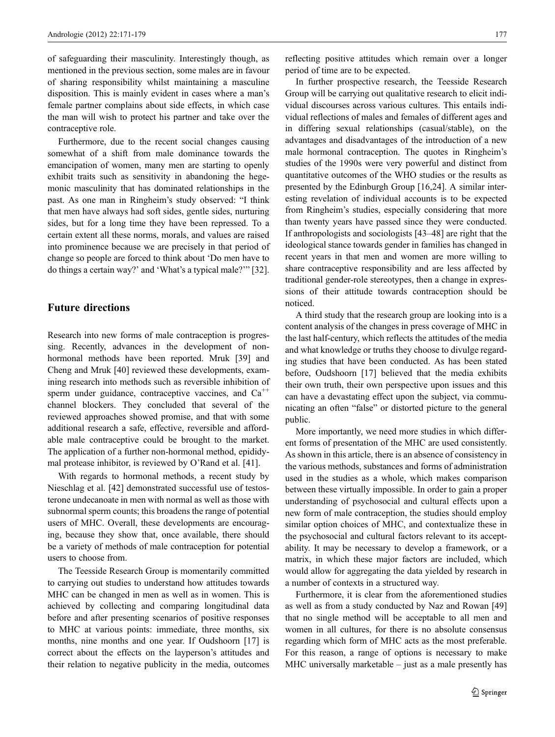of safeguarding their masculinity. Interestingly though, as mentioned in the previous section, some males are in favour of sharing responsibility whilst maintaining a masculine disposition. This is mainly evident in cases where a man's female partner complains about side effects, in which case the man will wish to protect his partner and take over the contraceptive role.

Furthermore, due to the recent social changes causing somewhat of a shift from male dominance towards the emancipation of women, many men are starting to openly exhibit traits such as sensitivity in abandoning the hegemonic masculinity that has dominated relationships in the past. As one man in Ringheim's study observed: "I think that men have always had soft sides, gentle sides, nurturing sides, but for a long time they have been repressed. To a certain extent all these norms, morals, and values are raised into prominence because we are precisely in that period of change so people are forced to think about 'Do men have to do things a certain way?' and 'What's a typical male?'" [32].

# Future directions

Research into new forms of male contraception is progressing. Recently, advances in the development of nonhormonal methods have been reported. Mruk [39] and Cheng and Mruk [40] reviewed these developments, examining research into methods such as reversible inhibition of sperm under guidance, contraceptive vaccines, and  $Ca<sup>+</sup>$ channel blockers. They concluded that several of the reviewed approaches showed promise, and that with some additional research a safe, effective, reversible and affordable male contraceptive could be brought to the market. The application of a further non-hormonal method, epididymal protease inhibitor, is reviewed by O'Rand et al. [41].

With regards to hormonal methods, a recent study by Nieschlag et al. [42] demonstrated successful use of testosterone undecanoate in men with normal as well as those with subnormal sperm counts; this broadens the range of potential users of MHC. Overall, these developments are encouraging, because they show that, once available, there should be a variety of methods of male contraception for potential users to choose from.

The Teesside Research Group is momentarily committed to carrying out studies to understand how attitudes towards MHC can be changed in men as well as in women. This is achieved by collecting and comparing longitudinal data before and after presenting scenarios of positive responses to MHC at various points: immediate, three months, six months, nine months and one year. If Oudshoorn [17] is correct about the effects on the layperson's attitudes and their relation to negative publicity in the media, outcomes reflecting positive attitudes which remain over a longer period of time are to be expected.

In further prospective research, the Teesside Research Group will be carrying out qualitative research to elicit individual discourses across various cultures. This entails individual reflections of males and females of different ages and in differing sexual relationships (casual/stable), on the advantages and disadvantages of the introduction of a new male hormonal contraception. The quotes in Ringheim's studies of the 1990s were very powerful and distinct from quantitative outcomes of the WHO studies or the results as presented by the Edinburgh Group [16,24]. A similar interesting revelation of individual accounts is to be expected from Ringheim's studies, especially considering that more than twenty years have passed since they were conducted. If anthropologists and sociologists [43–48] are right that the ideological stance towards gender in families has changed in recent years in that men and women are more willing to share contraceptive responsibility and are less affected by traditional gender-role stereotypes, then a change in expressions of their attitude towards contraception should be noticed.

A third study that the research group are looking into is a content analysis of the changes in press coverage of MHC in the last half-century, which reflects the attitudes of the media and what knowledge or truths they choose to divulge regarding studies that have been conducted. As has been stated before, Oudshoorn [17] believed that the media exhibits their own truth, their own perspective upon issues and this can have a devastating effect upon the subject, via communicating an often "false" or distorted picture to the general public.

More importantly, we need more studies in which different forms of presentation of the MHC are used consistently. As shown in this article, there is an absence of consistency in the various methods, substances and forms of administration used in the studies as a whole, which makes comparison between these virtually impossible. In order to gain a proper understanding of psychosocial and cultural effects upon a new form of male contraception, the studies should employ similar option choices of MHC, and contextualize these in the psychosocial and cultural factors relevant to its acceptability. It may be necessary to develop a framework, or a matrix, in which these major factors are included, which would allow for aggregating the data yielded by research in a number of contexts in a structured way.

Furthermore, it is clear from the aforementioned studies as well as from a study conducted by Naz and Rowan [49] that no single method will be acceptable to all men and women in all cultures, for there is no absolute consensus regarding which form of MHC acts as the most preferable. For this reason, a range of options is necessary to make  $MHC$  universally marketable – just as a male presently has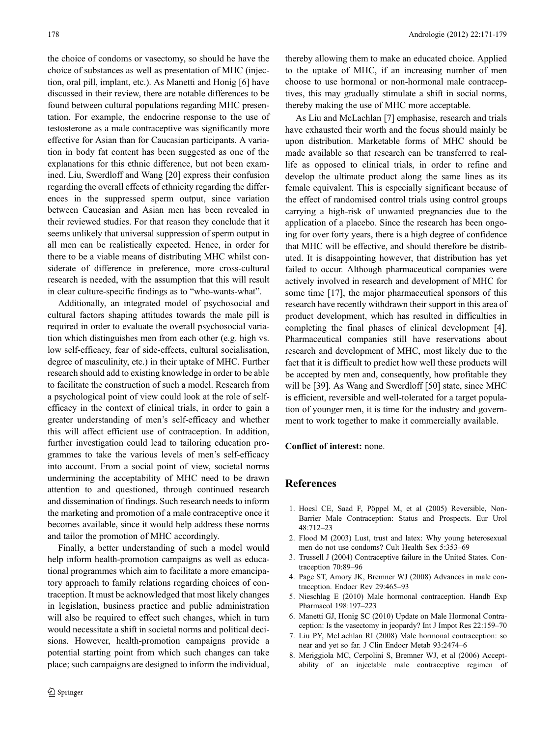the choice of condoms or vasectomy, so should he have the choice of substances as well as presentation of MHC (injection, oral pill, implant, etc.). As Manetti and Honig [6] have discussed in their review, there are notable differences to be found between cultural populations regarding MHC presentation. For example, the endocrine response to the use of testosterone as a male contraceptive was significantly more effective for Asian than for Caucasian participants. A variation in body fat content has been suggested as one of the explanations for this ethnic difference, but not been examined. Liu, Swerdloff and Wang [20] express their confusion regarding the overall effects of ethnicity regarding the differences in the suppressed sperm output, since variation between Caucasian and Asian men has been revealed in their reviewed studies. For that reason they conclude that it seems unlikely that universal suppression of sperm output in all men can be realistically expected. Hence, in order for there to be a viable means of distributing MHC whilst considerate of difference in preference, more cross-cultural research is needed, with the assumption that this will result in clear culture-specific findings as to "who-wants-what".

Additionally, an integrated model of psychosocial and cultural factors shaping attitudes towards the male pill is required in order to evaluate the overall psychosocial variation which distinguishes men from each other (e.g. high vs. low self-efficacy, fear of side-effects, cultural socialisation, degree of masculinity, etc.) in their uptake of MHC. Further research should add to existing knowledge in order to be able to facilitate the construction of such a model. Research from a psychological point of view could look at the role of selfefficacy in the context of clinical trials, in order to gain a greater understanding of men's self-efficacy and whether this will affect efficient use of contraception. In addition, further investigation could lead to tailoring education programmes to take the various levels of men's self-efficacy into account. From a social point of view, societal norms undermining the acceptability of MHC need to be drawn attention to and questioned, through continued research and dissemination of findings. Such research needs to inform the marketing and promotion of a male contraceptive once it becomes available, since it would help address these norms and tailor the promotion of MHC accordingly.

Finally, a better understanding of such a model would help inform health-promotion campaigns as well as educational programmes which aim to facilitate a more emancipatory approach to family relations regarding choices of contraception. It must be acknowledged that most likely changes in legislation, business practice and public administration will also be required to effect such changes, which in turn would necessitate a shift in societal norms and political decisions. However, health-promotion campaigns provide a potential starting point from which such changes can take place; such campaigns are designed to inform the individual,

thereby allowing them to make an educated choice. Applied to the uptake of MHC, if an increasing number of men choose to use hormonal or non-hormonal male contraceptives, this may gradually stimulate a shift in social norms, thereby making the use of MHC more acceptable.

As Liu and McLachlan [7] emphasise, research and trials have exhausted their worth and the focus should mainly be upon distribution. Marketable forms of MHC should be made available so that research can be transferred to reallife as opposed to clinical trials, in order to refine and develop the ultimate product along the same lines as its female equivalent. This is especially significant because of the effect of randomised control trials using control groups carrying a high-risk of unwanted pregnancies due to the application of a placebo. Since the research has been ongoing for over forty years, there is a high degree of confidence that MHC will be effective, and should therefore be distributed. It is disappointing however, that distribution has yet failed to occur. Although pharmaceutical companies were actively involved in research and development of MHC for some time [17], the major pharmaceutical sponsors of this research have recently withdrawn their support in this area of product development, which has resulted in difficulties in completing the final phases of clinical development [4]. Pharmaceutical companies still have reservations about research and development of MHC, most likely due to the fact that it is difficult to predict how well these products will be accepted by men and, consequently, how profitable they will be [39]. As Wang and Swerdloff [50] state, since MHC is efficient, reversible and well-tolerated for a target population of younger men, it is time for the industry and government to work together to make it commercially available.

# Conflict of interest: none.

# References

- 1. Hoesl CE, Saad F, Pöppel M, et al (2005) Reversible, Non-Barrier Male Contraception: Status and Prospects. Eur Urol 48:712–23
- 2. Flood M (2003) Lust, trust and latex: Why young heterosexual men do not use condoms? Cult Health Sex 5:353–69
- 3. Trussell J (2004) Contraceptive failure in the United States. Contraception 70:89–96
- 4. Page ST, Amory JK, Bremner WJ (2008) Advances in male contraception. Endocr Rev 29:465–93
- 5. Nieschlag E (2010) Male hormonal contraception. Handb Exp Pharmacol 198:197–223
- 6. Manetti GJ, Honig SC (2010) Update on Male Hormonal Contraception: Is the vasectomy in jeopardy? Int J Impot Res 22:159–70
- 7. Liu PY, McLachlan RI (2008) Male hormonal contraception: so near and yet so far. J Clin Endocr Metab 93:2474–6
- 8. Meriggiola MC, Cerpolini S, Bremner WJ, et al (2006) Acceptability of an injectable male contraceptive regimen of